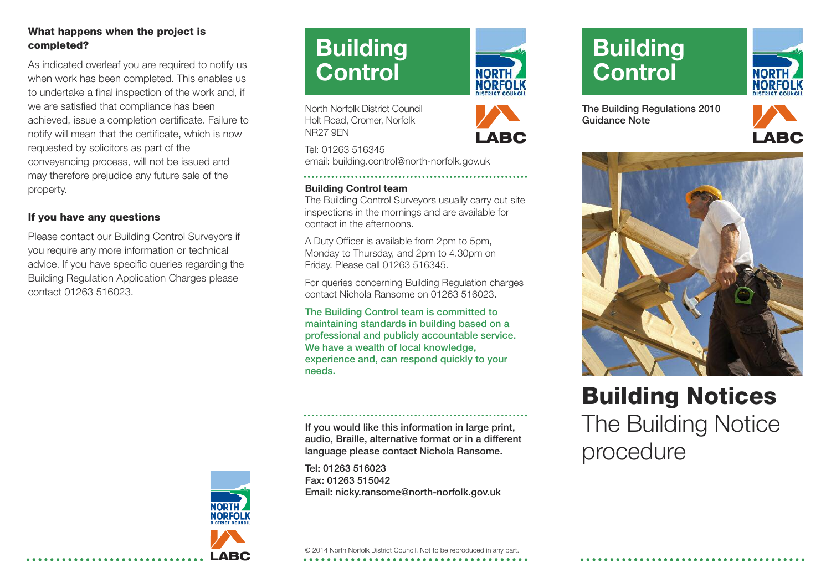### **What happens when the project is completed?**

As indicated overleaf you are required to notify us when work has been completed. This enables us to undertake a final inspection of the work and, if we are satisfied that compliance has been achieved, issue a completion certificate. Failure to notify will mean that the certificate, which is now requested by solicitors as part of the conveyancing process, will not be issued and may therefore prejudice any future sale of the property.

### **If you have any questions**

Please contact our Building Control Surveyors if you require any more information or technical advice. If you have specific queries regarding the Building Regulation Application Charges please contact 01263 516023.



**LABC**

# **Building Control**

North Norfolk District Council Holt Road, Cromer, Norfolk NR27 9EN

Tel: 01263 516345 email: building.control@north-norfolk.gov.uk

#### **Building Control team**

The Building Control Surveyors usually carry out site inspections in the mornings and are available for contact in the afternoons.

A Duty Officer is available from 2pm to 5pm, Monday to Thursday, and 2pm to 4.30pm on Friday. Please call 01263 516345.

For queries concerning Building Regulation charges contact Nichola Ransome on 01263 516023.

**The Building Control team is committed to maintaining standards in building based on a professional and publicly accountable service. We have a wealth of local knowledge, experience and, can respond quickly to your needs.**

**If you would like this information in large print, audio, Braille, alternative format or in a different language please contact Nichola Ransome.**

**Tel: 01263 516023 Fax: 01263 515042 Email: nicky.ransome@north-norfolk.gov.uk**





# **Building Control**



**The Building Regulations 2010 Guidance Note**





# **Building Notices** The Building Notice procedure

© 2014 North Norfolk District Council. Not to be reproduced in any part. **\*\*\*\*\*\*\*\*\*\*\*\*\*\*\*\*\*\*\*\*\*\*\***